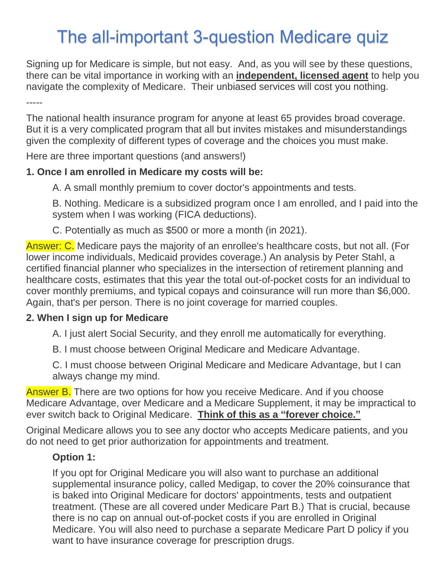# The all-important 3-question Medicare quiz

Signing up for Medicare is simple, but not easy. And, as you will see by these questions, there can be vital importance in working with an **independent, licensed agent** to help you navigate the complexity of Medicare. Their unbiased services will cost you nothing.

-----

The national health insurance program for anyone at least 65 provides broad coverage. But it is a very complicated program that all but invites mistakes and misunderstandings given the complexity of different types of coverage and the choices you must make.

Here are three important questions (and answers!)

### **1. Once I am enrolled in Medicare my costs will be:**

A. A small monthly premium to cover doctor's appointments and tests.

B. Nothing. Medicare is a subsidized program once I am enrolled, and I paid into the system when I was working (FICA deductions).

C. Potentially as much as \$500 or more a month (in 2021).

Answer: C. Medicare pays the majority of an enrollee's healthcare costs, but not all. (For lower income individuals, Medicaid provides coverage.) An analysis by Peter Stahl, a certified financial planner who specializes in the intersection of retirement planning and healthcare costs, estimates that this year the total out-of-pocket costs for an individual to cover monthly premiums, and typical copays and coinsurance will run more than \$6,000. Again, that's per person. There is no joint coverage for married couples.

### **2. When I sign up for Medicare**

A. I just alert Social Security, and they enroll me automatically for everything.

B. I must choose between Original Medicare and Medicare Advantage.

C. I must choose between Original Medicare and Medicare Advantage, but I can always change my mind.

Answer B. There are two options for how you receive Medicare. And if you choose Medicare Advantage, over Medicare and a Medicare Supplement, it may be impractical to ever switch back to Original Medicare. **Think of this as a "forever choice."**

Original Medicare allows you to see any doctor who accepts Medicare patients, and you do not need to get prior authorization for appointments and treatment.

### **Option 1:**

If you opt for Original Medicare you will also want to purchase an additional supplemental insurance policy, called Medigap, to cover the 20% coinsurance that is baked into Original Medicare for doctors' appointments, tests and outpatient treatment. (These are all covered under Medicare Part B.) That is crucial, because there is no cap on annual out-of-pocket costs if you are enrolled in Original Medicare. You will also need to purchase a separate Medicare Part D policy if you want to have insurance coverage for prescription drugs.